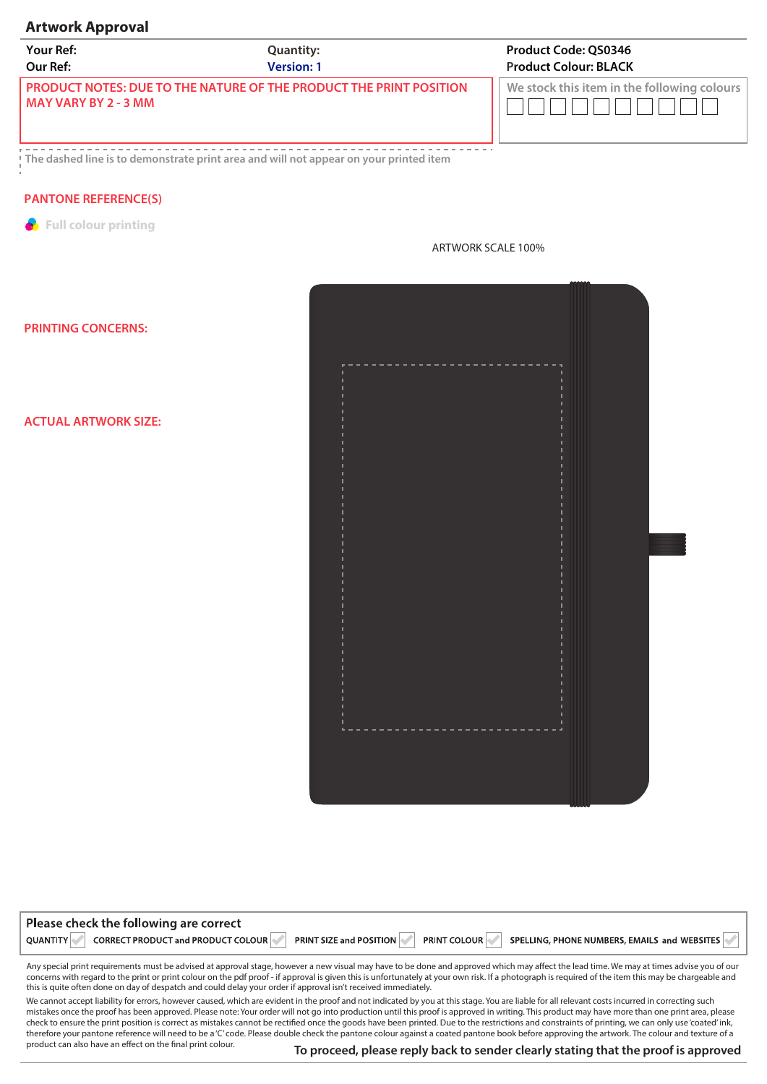## **Artwork Approval**

| <b>Your Ref:</b>       | <b>Quantity:</b>                                                            | <b>Product Code: OS0346</b>                 |
|------------------------|-----------------------------------------------------------------------------|---------------------------------------------|
| Our Ref:               | <b>Version: 1</b>                                                           | <b>Product Colour: BLACK</b>                |
| l MAY VARY BY 2 - 3 MM | <u>L PRODUCT NOTES: DUE TO THE NATURE OF THE PRODUCT THE PRINT POSITION</u> | We stock this item in the following colours |

--------------------**The dashed line is to demonstrate print area and will not appear on your printed item**

## **PANTONE REFERENCE(S)**

**Full colour printing** 

| r<br>l<br>I<br>$\frac{1}{1}$ |  |  |  |
|------------------------------|--|--|--|
| $\frac{1}{1}$                |  |  |  |
| エーエーエーエー<br>$\frac{1}{1}$    |  |  |  |
| $\frac{1}{1}$                |  |  |  |
| $\frac{1}{1}$                |  |  |  |
| $-1 - 1 - 1 - 1 - 1$<br>l,   |  |  |  |
| ---------<br>ı<br>L.         |  |  |  |
|                              |  |  |  |

ARTWORK SCALE 100%

## **PRINTING CONCERNS:**

**ACTUAL ARTWORK SIZE:** 

| Please check the following are correct                |                                |                                                                     |  |
|-------------------------------------------------------|--------------------------------|---------------------------------------------------------------------|--|
| CORRECT PRODUCT and PRODUCT COLOUR<br><b>QUANTITY</b> | <b>PRINT SIZE and POSITION</b> | <b>PRINT COLOUR</b><br>SPELLING, PHONE NUMBERS, EMAILS and WEBSITES |  |

Any special print requirements must be advised at approval stage, however a new visual may have to be done and approved which may affect the lead time. We may at times advise you of our concerns with regard to the print or print colour on the pdf proof - if approval is given this is unfortunately at your own risk. If a photograph is required of the item this may be chargeable and this is quite often done on day of despatch and could delay your order if approval isn't received immediately.

We cannot accept liability for errors, however caused, which are evident in the proof and not indicated by you at this stage. You are liable for all relevant costs incurred in correcting such mistakes once the proof has been approved. Please note: Your order will not go into production until this proof is approved in writing. This product may have more than one print area, please check to ensure the print position is correct as mistakes cannot be rectified once the goods have been printed. Due to the restrictions and constraints of printing, we can only use 'coated' ink, therefore your pantone reference will need to be a 'C' code. Please double check the pantone colour against a coated pantone book before approving the artwork. The colour and texture of a product can also have an effect on the final print colour.